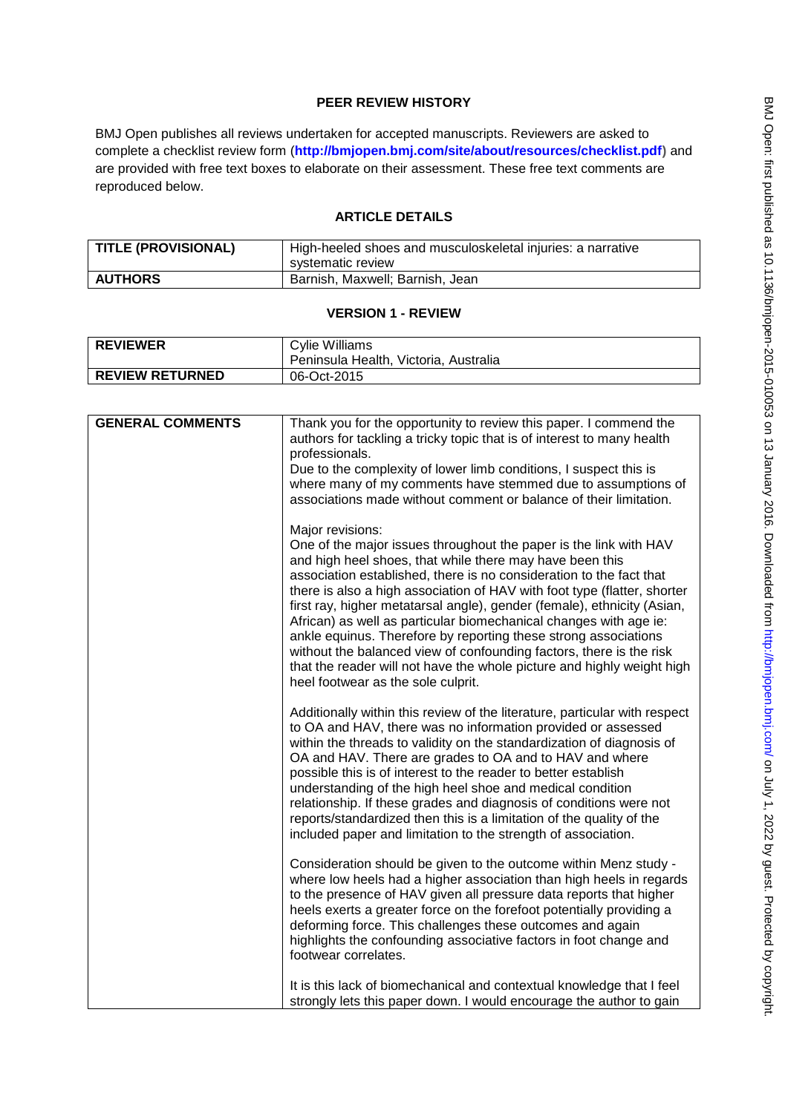# **PEER REVIEW HISTORY**

BMJ Open publishes all reviews undertaken for accepted manuscripts. Reviewers are asked to complete a checklist review form (**[http://bmjopen.bmj.com/site/about/resources/checklist.pdf\)](http://bmjopen.bmj.com/site/about/resources/checklist.pdf)** and are provided with free text boxes to elaborate on their assessment. These free text comments are reproduced below.

# **ARTICLE DETAILS**

| TITLE (PROVISIONAL) | High-heeled shoes and musculoskeletal injuries: a narrative<br>systematic review |
|---------------------|----------------------------------------------------------------------------------|
| <b>AUTHORS</b>      | Barnish, Maxwell; Barnish, Jean                                                  |

#### **VERSION 1 - REVIEW**

| <b>REVIEWER</b>        | Cylie Williams<br>Peninsula Health, Victoria, Australia |
|------------------------|---------------------------------------------------------|
| <b>REVIEW RETURNED</b> | 06-Oct-2015                                             |

| <b>GENERAL COMMENTS</b> | Thank you for the opportunity to review this paper. I commend the                                                                               |
|-------------------------|-------------------------------------------------------------------------------------------------------------------------------------------------|
|                         | authors for tackling a tricky topic that is of interest to many health                                                                          |
|                         | professionals.                                                                                                                                  |
|                         | Due to the complexity of lower limb conditions, I suspect this is                                                                               |
|                         | where many of my comments have stemmed due to assumptions of<br>associations made without comment or balance of their limitation.               |
|                         |                                                                                                                                                 |
|                         | Major revisions:                                                                                                                                |
|                         | One of the major issues throughout the paper is the link with HAV                                                                               |
|                         | and high heel shoes, that while there may have been this                                                                                        |
|                         | association established, there is no consideration to the fact that<br>there is also a high association of HAV with foot type (flatter, shorter |
|                         | first ray, higher metatarsal angle), gender (female), ethnicity (Asian,                                                                         |
|                         | African) as well as particular biomechanical changes with age ie:                                                                               |
|                         | ankle equinus. Therefore by reporting these strong associations                                                                                 |
|                         | without the balanced view of confounding factors, there is the risk                                                                             |
|                         | that the reader will not have the whole picture and highly weight high                                                                          |
|                         | heel footwear as the sole culprit.                                                                                                              |
|                         | Additionally within this review of the literature, particular with respect                                                                      |
|                         | to OA and HAV, there was no information provided or assessed                                                                                    |
|                         | within the threads to validity on the standardization of diagnosis of                                                                           |
|                         | OA and HAV. There are grades to OA and to HAV and where<br>possible this is of interest to the reader to better establish                       |
|                         | understanding of the high heel shoe and medical condition                                                                                       |
|                         | relationship. If these grades and diagnosis of conditions were not                                                                              |
|                         | reports/standardized then this is a limitation of the quality of the                                                                            |
|                         | included paper and limitation to the strength of association.                                                                                   |
|                         | Consideration should be given to the outcome within Menz study -                                                                                |
|                         | where low heels had a higher association than high heels in regards                                                                             |
|                         | to the presence of HAV given all pressure data reports that higher                                                                              |
|                         | heels exerts a greater force on the forefoot potentially providing a                                                                            |
|                         | deforming force. This challenges these outcomes and again                                                                                       |
|                         | highlights the confounding associative factors in foot change and<br>footwear correlates.                                                       |
|                         |                                                                                                                                                 |
|                         | It is this lack of biomechanical and contextual knowledge that I feel                                                                           |
|                         | strongly lets this paper down. I would encourage the author to gain                                                                             |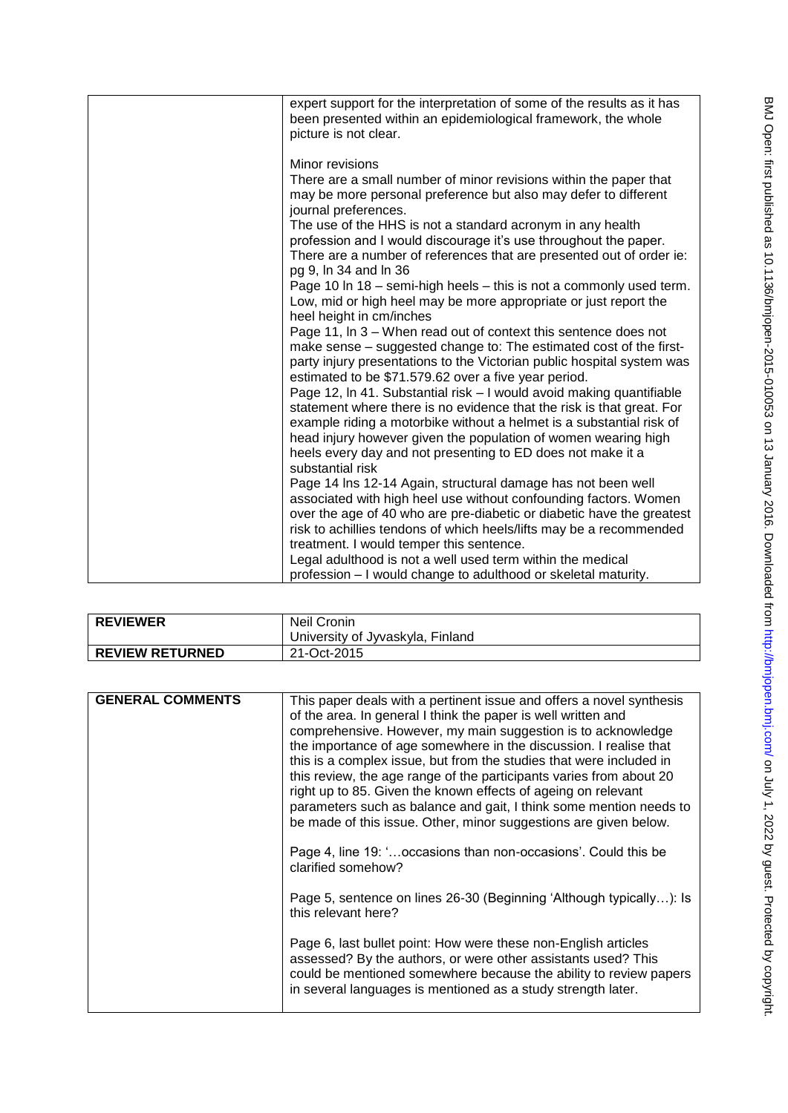| expert support for the interpretation of some of the results as it has<br>been presented within an epidemiological framework, the whole<br>picture is not clear.                                                                                                                                                                                                                                                                                                                                                                                                                                                                                                                                                                                                                                                                                                                                                                                                                                                                                                                                                                                                                                                                                                                                                                                                                                                                                                                                                                                                                   |
|------------------------------------------------------------------------------------------------------------------------------------------------------------------------------------------------------------------------------------------------------------------------------------------------------------------------------------------------------------------------------------------------------------------------------------------------------------------------------------------------------------------------------------------------------------------------------------------------------------------------------------------------------------------------------------------------------------------------------------------------------------------------------------------------------------------------------------------------------------------------------------------------------------------------------------------------------------------------------------------------------------------------------------------------------------------------------------------------------------------------------------------------------------------------------------------------------------------------------------------------------------------------------------------------------------------------------------------------------------------------------------------------------------------------------------------------------------------------------------------------------------------------------------------------------------------------------------|
| Minor revisions<br>There are a small number of minor revisions within the paper that<br>may be more personal preference but also may defer to different<br>journal preferences.<br>The use of the HHS is not a standard acronym in any health<br>profession and I would discourage it's use throughout the paper.<br>There are a number of references that are presented out of order ie:<br>pg 9, In 34 and In 36<br>Page 10 In 18 - semi-high heels - this is not a commonly used term.<br>Low, mid or high heel may be more appropriate or just report the<br>heel height in cm/inches<br>Page 11, In 3 – When read out of context this sentence does not<br>make sense – suggested change to: The estimated cost of the first-<br>party injury presentations to the Victorian public hospital system was<br>estimated to be \$71.579.62 over a five year period.<br>Page 12, In 41. Substantial risk - I would avoid making quantifiable<br>statement where there is no evidence that the risk is that great. For<br>example riding a motorbike without a helmet is a substantial risk of<br>head injury however given the population of women wearing high<br>heels every day and not presenting to ED does not make it a<br>substantial risk<br>Page 14 Ins 12-14 Again, structural damage has not been well<br>associated with high heel use without confounding factors. Women<br>over the age of 40 who are pre-diabetic or diabetic have the greatest<br>risk to achillies tendons of which heels/lifts may be a recommended<br>treatment. I would temper this sentence. |
| Legal adulthood is not a well used term within the medical<br>profession - I would change to adulthood or skeletal maturity.                                                                                                                                                                                                                                                                                                                                                                                                                                                                                                                                                                                                                                                                                                                                                                                                                                                                                                                                                                                                                                                                                                                                                                                                                                                                                                                                                                                                                                                       |

| <b>REVIEWER</b>        | Neil Cronin                      |
|------------------------|----------------------------------|
|                        | University of Jyvaskyla, Finland |
| <b>REVIEW RETURNED</b> | 21-Oct-2015                      |

| <b>GENERAL COMMENTS</b> | This paper deals with a pertinent issue and offers a novel synthesis<br>of the area. In general I think the paper is well written and<br>comprehensive. However, my main suggestion is to acknowledge<br>the importance of age somewhere in the discussion. I realise that<br>this is a complex issue, but from the studies that were included in<br>this review, the age range of the participants varies from about 20<br>right up to 85. Given the known effects of ageing on relevant<br>parameters such as balance and gait, I think some mention needs to<br>be made of this issue. Other, minor suggestions are given below.<br>Page 4, line 19: 'occasions than non-occasions'. Could this be<br>clarified somehow?<br>Page 5, sentence on lines 26-30 (Beginning 'Although typically): Is<br>this relevant here?<br>Page 6, last bullet point: How were these non-English articles<br>assessed? By the authors, or were other assistants used? This<br>could be mentioned somewhere because the ability to review papers<br>in several languages is mentioned as a study strength later. |
|-------------------------|---------------------------------------------------------------------------------------------------------------------------------------------------------------------------------------------------------------------------------------------------------------------------------------------------------------------------------------------------------------------------------------------------------------------------------------------------------------------------------------------------------------------------------------------------------------------------------------------------------------------------------------------------------------------------------------------------------------------------------------------------------------------------------------------------------------------------------------------------------------------------------------------------------------------------------------------------------------------------------------------------------------------------------------------------------------------------------------------------|
|                         |                                                                                                                                                                                                                                                                                                                                                                                                                                                                                                                                                                                                                                                                                                                                                                                                                                                                                                                                                                                                                                                                                                   |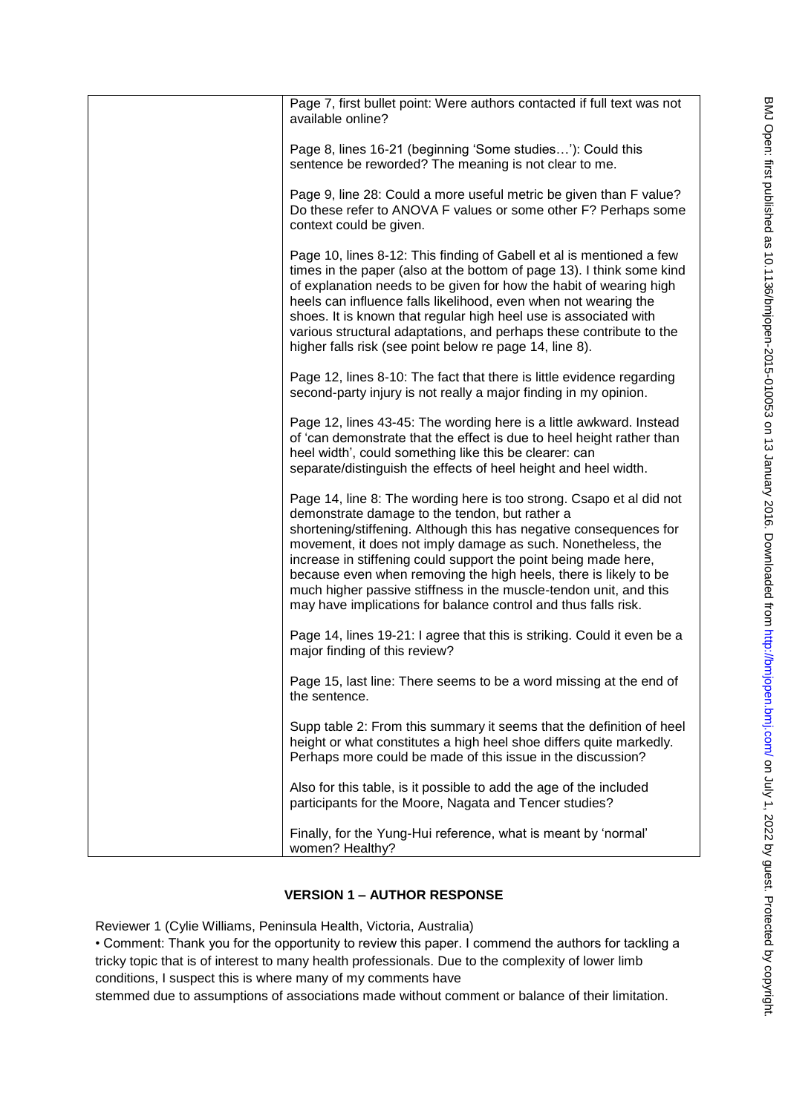| Page 7, first bullet point: Were authors contacted if full text was not                                                                                                                                                                                                                                                                                                                                                                                                                                                                    |
|--------------------------------------------------------------------------------------------------------------------------------------------------------------------------------------------------------------------------------------------------------------------------------------------------------------------------------------------------------------------------------------------------------------------------------------------------------------------------------------------------------------------------------------------|
| available online?                                                                                                                                                                                                                                                                                                                                                                                                                                                                                                                          |
| Page 8, lines 16-21 (beginning 'Some studies'): Could this<br>sentence be reworded? The meaning is not clear to me.                                                                                                                                                                                                                                                                                                                                                                                                                        |
| Page 9, line 28: Could a more useful metric be given than F value?<br>Do these refer to ANOVA F values or some other F? Perhaps some<br>context could be given.                                                                                                                                                                                                                                                                                                                                                                            |
| Page 10, lines 8-12: This finding of Gabell et al is mentioned a few<br>times in the paper (also at the bottom of page 13). I think some kind<br>of explanation needs to be given for how the habit of wearing high<br>heels can influence falls likelihood, even when not wearing the<br>shoes. It is known that regular high heel use is associated with<br>various structural adaptations, and perhaps these contribute to the<br>higher falls risk (see point below re page 14, line 8).                                               |
| Page 12, lines 8-10: The fact that there is little evidence regarding<br>second-party injury is not really a major finding in my opinion.                                                                                                                                                                                                                                                                                                                                                                                                  |
| Page 12, lines 43-45: The wording here is a little awkward. Instead<br>of 'can demonstrate that the effect is due to heel height rather than<br>heel width', could something like this be clearer: can<br>separate/distinguish the effects of heel height and heel width.                                                                                                                                                                                                                                                                  |
| Page 14, line 8: The wording here is too strong. Csapo et al did not<br>demonstrate damage to the tendon, but rather a<br>shortening/stiffening. Although this has negative consequences for<br>movement, it does not imply damage as such. Nonetheless, the<br>increase in stiffening could support the point being made here,<br>because even when removing the high heels, there is likely to be<br>much higher passive stiffness in the muscle-tendon unit, and this<br>may have implications for balance control and thus falls risk. |
| Page 14, lines 19-21: I agree that this is striking. Could it even be a<br>major finding of this review?                                                                                                                                                                                                                                                                                                                                                                                                                                   |
| Page 15, last line: There seems to be a word missing at the end of<br>the sentence.                                                                                                                                                                                                                                                                                                                                                                                                                                                        |
| Supp table 2: From this summary it seems that the definition of heel<br>height or what constitutes a high heel shoe differs quite markedly.<br>Perhaps more could be made of this issue in the discussion?                                                                                                                                                                                                                                                                                                                                 |
| Also for this table, is it possible to add the age of the included<br>participants for the Moore, Nagata and Tencer studies?                                                                                                                                                                                                                                                                                                                                                                                                               |
| Finally, for the Yung-Hui reference, what is meant by 'normal'<br>women? Healthy?                                                                                                                                                                                                                                                                                                                                                                                                                                                          |

# **VERSION 1 – AUTHOR RESPONSE**

Reviewer 1 (Cylie Williams, Peninsula Health, Victoria, Australia)

• Comment: Thank you for the opportunity to review this paper. I commend the authors for tackling a tricky topic that is of interest to many health professionals. Due to the complexity of lower limb conditions, I suspect this is where many of my comments have

stemmed due to assumptions of associations made without comment or balance of their limitation.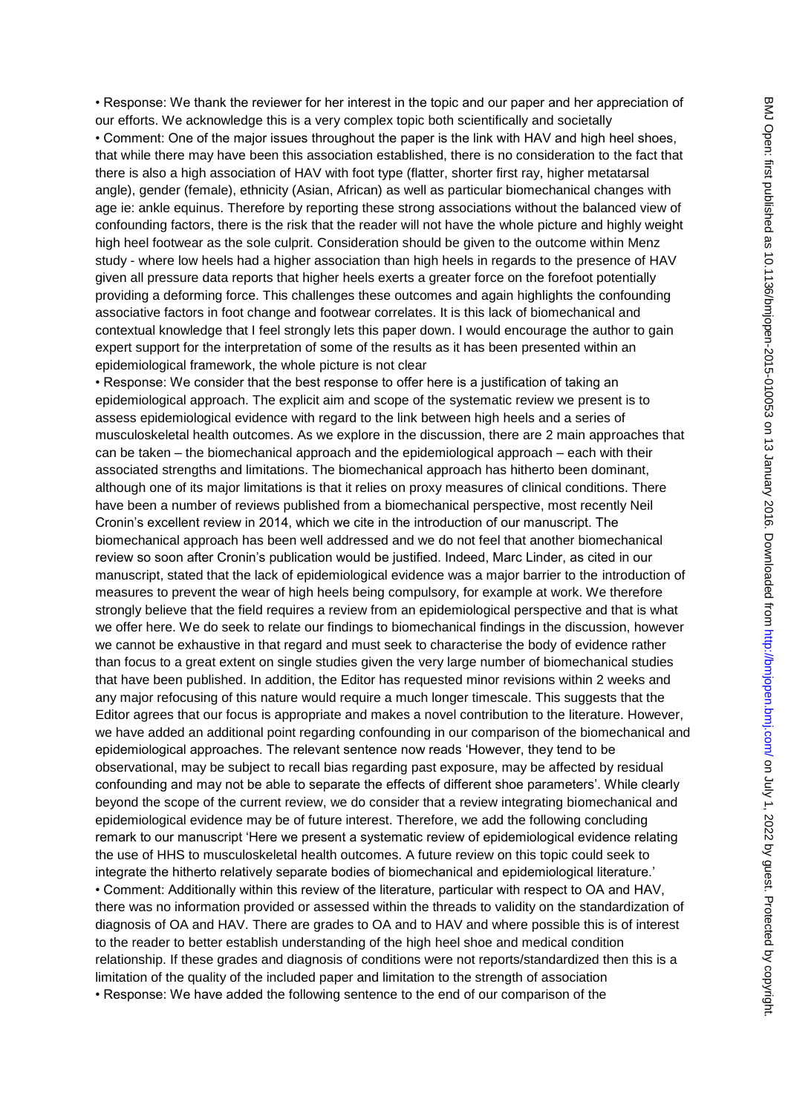• Response: We thank the reviewer for her interest in the topic and our paper and her appreciation of our efforts. We acknowledge this is a very complex topic both scientifically and societally • Comment: One of the major issues throughout the paper is the link with HAV and high heel shoes, that while there may have been this association established, there is no consideration to the fact that there is also a high association of HAV with foot type (flatter, shorter first ray, higher metatarsal angle), gender (female), ethnicity (Asian, African) as well as particular biomechanical changes with age ie: ankle equinus. Therefore by reporting these strong associations without the balanced view of confounding factors, there is the risk that the reader will not have the whole picture and highly weight high heel footwear as the sole culprit. Consideration should be given to the outcome within Menz study - where low heels had a higher association than high heels in regards to the presence of HAV given all pressure data reports that higher heels exerts a greater force on the forefoot potentially providing a deforming force. This challenges these outcomes and again highlights the confounding associative factors in foot change and footwear correlates. It is this lack of biomechanical and contextual knowledge that I feel strongly lets this paper down. I would encourage the author to gain expert support for the interpretation of some of the results as it has been presented within an epidemiological framework, the whole picture is not clear

• Response: We consider that the best response to offer here is a justification of taking an epidemiological approach. The explicit aim and scope of the systematic review we present is to assess epidemiological evidence with regard to the link between high heels and a series of musculoskeletal health outcomes. As we explore in the discussion, there are 2 main approaches that can be taken – the biomechanical approach and the epidemiological approach – each with their associated strengths and limitations. The biomechanical approach has hitherto been dominant, although one of its major limitations is that it relies on proxy measures of clinical conditions. There have been a number of reviews published from a biomechanical perspective, most recently Neil Cronin's excellent review in 2014, which we cite in the introduction of our manuscript. The biomechanical approach has been well addressed and we do not feel that another biomechanical review so soon after Cronin's publication would be justified. Indeed, Marc Linder, as cited in our manuscript, stated that the lack of epidemiological evidence was a major barrier to the introduction of measures to prevent the wear of high heels being compulsory, for example at work. We therefore strongly believe that the field requires a review from an epidemiological perspective and that is what we offer here. We do seek to relate our findings to biomechanical findings in the discussion, however we cannot be exhaustive in that regard and must seek to characterise the body of evidence rather than focus to a great extent on single studies given the very large number of biomechanical studies that have been published. In addition, the Editor has requested minor revisions within 2 weeks and any major refocusing of this nature would require a much longer timescale. This suggests that the Editor agrees that our focus is appropriate and makes a novel contribution to the literature. However, we have added an additional point regarding confounding in our comparison of the biomechanical and epidemiological approaches. The relevant sentence now reads 'However, they tend to be observational, may be subject to recall bias regarding past exposure, may be affected by residual confounding and may not be able to separate the effects of different shoe parameters'. While clearly beyond the scope of the current review, we do consider that a review integrating biomechanical and epidemiological evidence may be of future interest. Therefore, we add the following concluding remark to our manuscript 'Here we present a systematic review of epidemiological evidence relating the use of HHS to musculoskeletal health outcomes. A future review on this topic could seek to integrate the hitherto relatively separate bodies of biomechanical and epidemiological literature.' • Comment: Additionally within this review of the literature, particular with respect to OA and HAV, there was no information provided or assessed within the threads to validity on the standardization of diagnosis of OA and HAV. There are grades to OA and to HAV and where possible this is of interest to the reader to better establish understanding of the high heel shoe and medical condition relationship. If these grades and diagnosis of conditions were not reports/standardized then this is a limitation of the quality of the included paper and limitation to the strength of association • Response: We have added the following sentence to the end of our comparison of the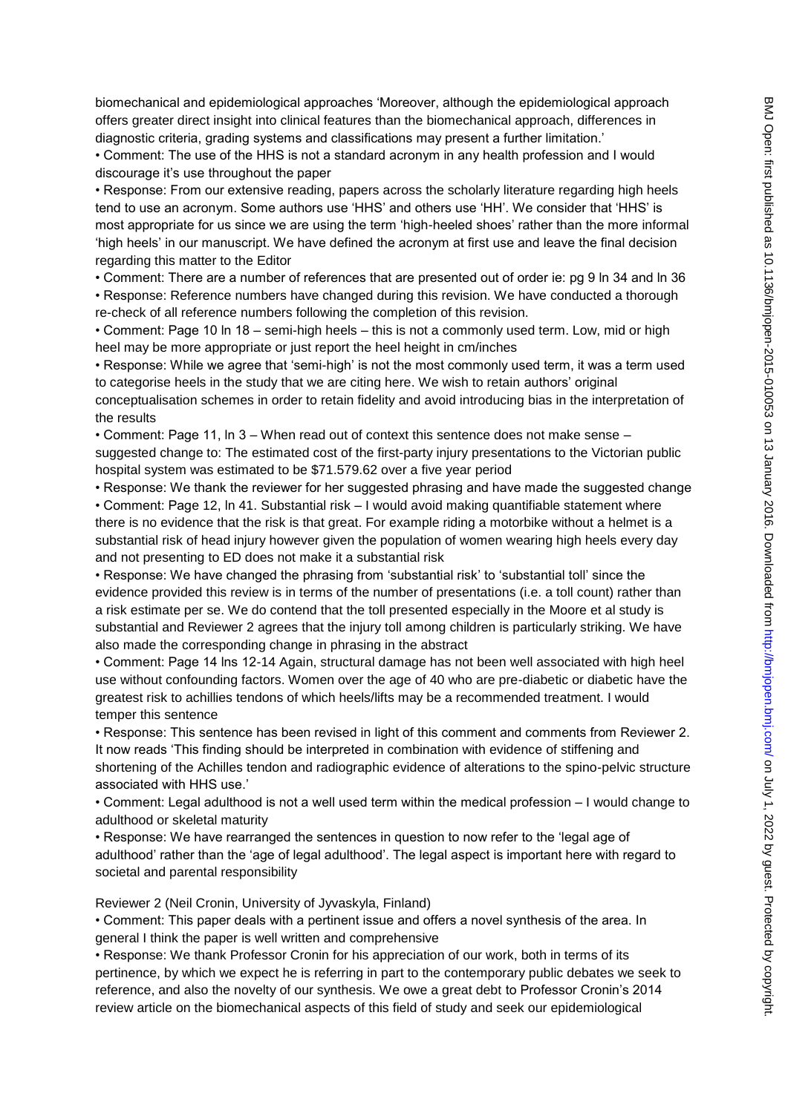biomechanical and epidemiological approaches 'Moreover, although the epidemiological approach offers greater direct insight into clinical features than the biomechanical approach, differences in diagnostic criteria, grading systems and classifications may present a further limitation.'

• Comment: The use of the HHS is not a standard acronym in any health profession and I would discourage it's use throughout the paper

• Response: From our extensive reading, papers across the scholarly literature regarding high heels tend to use an acronym. Some authors use 'HHS' and others use 'HH'. We consider that 'HHS' is most appropriate for us since we are using the term 'high-heeled shoes' rather than the more informal 'high heels' in our manuscript. We have defined the acronym at first use and leave the final decision regarding this matter to the Editor

• Comment: There are a number of references that are presented out of order ie: pg 9 ln 34 and ln 36 • Response: Reference numbers have changed during this revision. We have conducted a thorough re-check of all reference numbers following the completion of this revision.

• Comment: Page 10 ln 18 – semi-high heels – this is not a commonly used term. Low, mid or high heel may be more appropriate or just report the heel height in cm/inches

• Response: While we agree that 'semi-high' is not the most commonly used term, it was a term used to categorise heels in the study that we are citing here. We wish to retain authors' original conceptualisation schemes in order to retain fidelity and avoid introducing bias in the interpretation of

the results

• Comment: Page 11, ln 3 – When read out of context this sentence does not make sense – suggested change to: The estimated cost of the first-party injury presentations to the Victorian public hospital system was estimated to be \$71.579.62 over a five year period

• Response: We thank the reviewer for her suggested phrasing and have made the suggested change

• Comment: Page 12, ln 41. Substantial risk – I would avoid making quantifiable statement where there is no evidence that the risk is that great. For example riding a motorbike without a helmet is a substantial risk of head injury however given the population of women wearing high heels every day and not presenting to ED does not make it a substantial risk

• Response: We have changed the phrasing from 'substantial risk' to 'substantial toll' since the evidence provided this review is in terms of the number of presentations (i.e. a toll count) rather than a risk estimate per se. We do contend that the toll presented especially in the Moore et al study is substantial and Reviewer 2 agrees that the injury toll among children is particularly striking. We have also made the corresponding change in phrasing in the abstract

• Comment: Page 14 lns 12-14 Again, structural damage has not been well associated with high heel use without confounding factors. Women over the age of 40 who are pre-diabetic or diabetic have the greatest risk to achillies tendons of which heels/lifts may be a recommended treatment. I would temper this sentence

• Response: This sentence has been revised in light of this comment and comments from Reviewer 2. It now reads 'This finding should be interpreted in combination with evidence of stiffening and

shortening of the Achilles tendon and radiographic evidence of alterations to the spino-pelvic structure associated with HHS use.'

• Comment: Legal adulthood is not a well used term within the medical profession – I would change to adulthood or skeletal maturity

• Response: We have rearranged the sentences in question to now refer to the 'legal age of adulthood' rather than the 'age of legal adulthood'. The legal aspect is important here with regard to societal and parental responsibility

Reviewer 2 (Neil Cronin, University of Jyvaskyla, Finland)

• Comment: This paper deals with a pertinent issue and offers a novel synthesis of the area. In general I think the paper is well written and comprehensive

• Response: We thank Professor Cronin for his appreciation of our work, both in terms of its pertinence, by which we expect he is referring in part to the contemporary public debates we seek to reference, and also the novelty of our synthesis. We owe a great debt to Professor Cronin's 2014 review article on the biomechanical aspects of this field of study and seek our epidemiological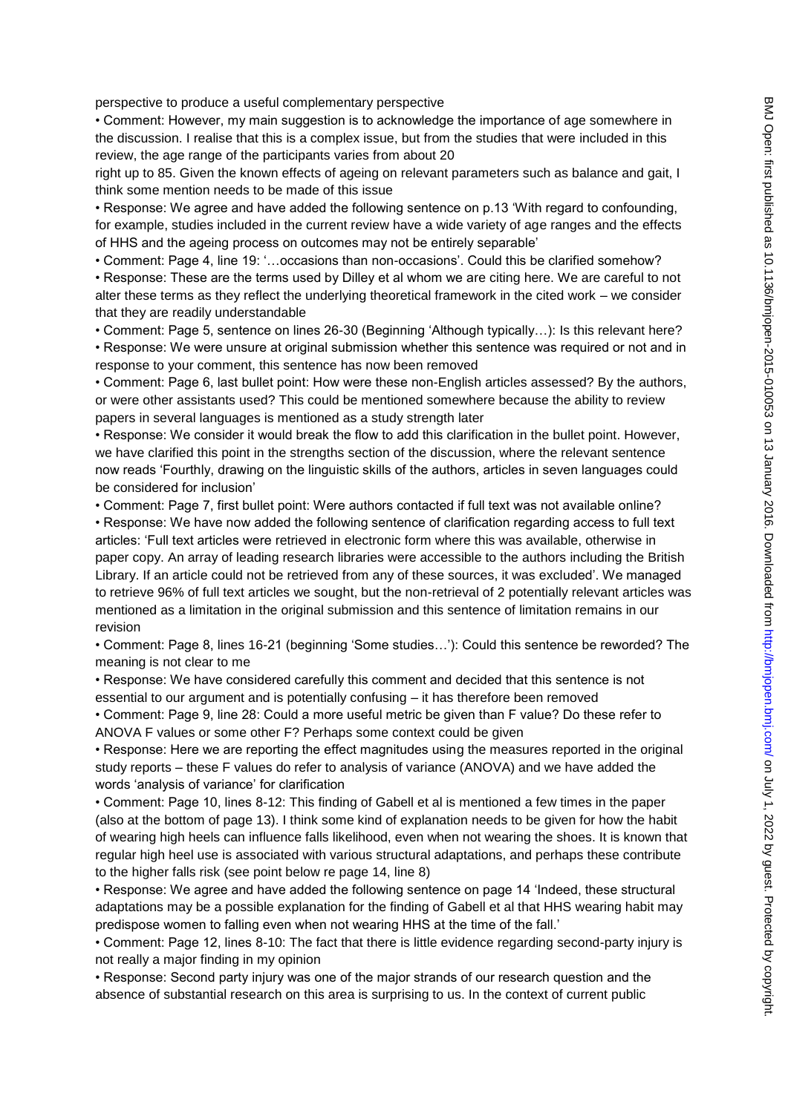perspective to produce a useful complementary perspective

• Comment: However, my main suggestion is to acknowledge the importance of age somewhere in the discussion. I realise that this is a complex issue, but from the studies that were included in this review, the age range of the participants varies from about 20

right up to 85. Given the known effects of ageing on relevant parameters such as balance and gait, I think some mention needs to be made of this issue

• Response: We agree and have added the following sentence on p.13 'With regard to confounding, for example, studies included in the current review have a wide variety of age ranges and the effects of HHS and the ageing process on outcomes may not be entirely separable'

• Comment: Page 4, line 19: '…occasions than non-occasions'. Could this be clarified somehow? • Response: These are the terms used by Dilley et al whom we are citing here. We are careful to not alter these terms as they reflect the underlying theoretical framework in the cited work – we consider that they are readily understandable

• Comment: Page 5, sentence on lines 26-30 (Beginning 'Although typically…): Is this relevant here? • Response: We were unsure at original submission whether this sentence was required or not and in response to your comment, this sentence has now been removed

• Comment: Page 6, last bullet point: How were these non-English articles assessed? By the authors, or were other assistants used? This could be mentioned somewhere because the ability to review papers in several languages is mentioned as a study strength later

• Response: We consider it would break the flow to add this clarification in the bullet point. However, we have clarified this point in the strengths section of the discussion, where the relevant sentence now reads 'Fourthly, drawing on the linguistic skills of the authors, articles in seven languages could be considered for inclusion'

• Comment: Page 7, first bullet point: Were authors contacted if full text was not available online? • Response: We have now added the following sentence of clarification regarding access to full text articles: 'Full text articles were retrieved in electronic form where this was available, otherwise in paper copy. An array of leading research libraries were accessible to the authors including the British Library. If an article could not be retrieved from any of these sources, it was excluded'. We managed to retrieve 96% of full text articles we sought, but the non-retrieval of 2 potentially relevant articles was mentioned as a limitation in the original submission and this sentence of limitation remains in our revision

• Comment: Page 8, lines 16-21 (beginning 'Some studies…'): Could this sentence be reworded? The meaning is not clear to me

• Response: We have considered carefully this comment and decided that this sentence is not essential to our argument and is potentially confusing – it has therefore been removed

• Comment: Page 9, line 28: Could a more useful metric be given than F value? Do these refer to ANOVA F values or some other F? Perhaps some context could be given

• Response: Here we are reporting the effect magnitudes using the measures reported in the original study reports – these F values do refer to analysis of variance (ANOVA) and we have added the words 'analysis of variance' for clarification

• Comment: Page 10, lines 8-12: This finding of Gabell et al is mentioned a few times in the paper (also at the bottom of page 13). I think some kind of explanation needs to be given for how the habit of wearing high heels can influence falls likelihood, even when not wearing the shoes. It is known that regular high heel use is associated with various structural adaptations, and perhaps these contribute to the higher falls risk (see point below re page 14, line 8)

• Response: We agree and have added the following sentence on page 14 'Indeed, these structural adaptations may be a possible explanation for the finding of Gabell et al that HHS wearing habit may predispose women to falling even when not wearing HHS at the time of the fall.'

• Comment: Page 12, lines 8-10: The fact that there is little evidence regarding second-party injury is not really a major finding in my opinion

• Response: Second party injury was one of the major strands of our research question and the absence of substantial research on this area is surprising to us. In the context of current public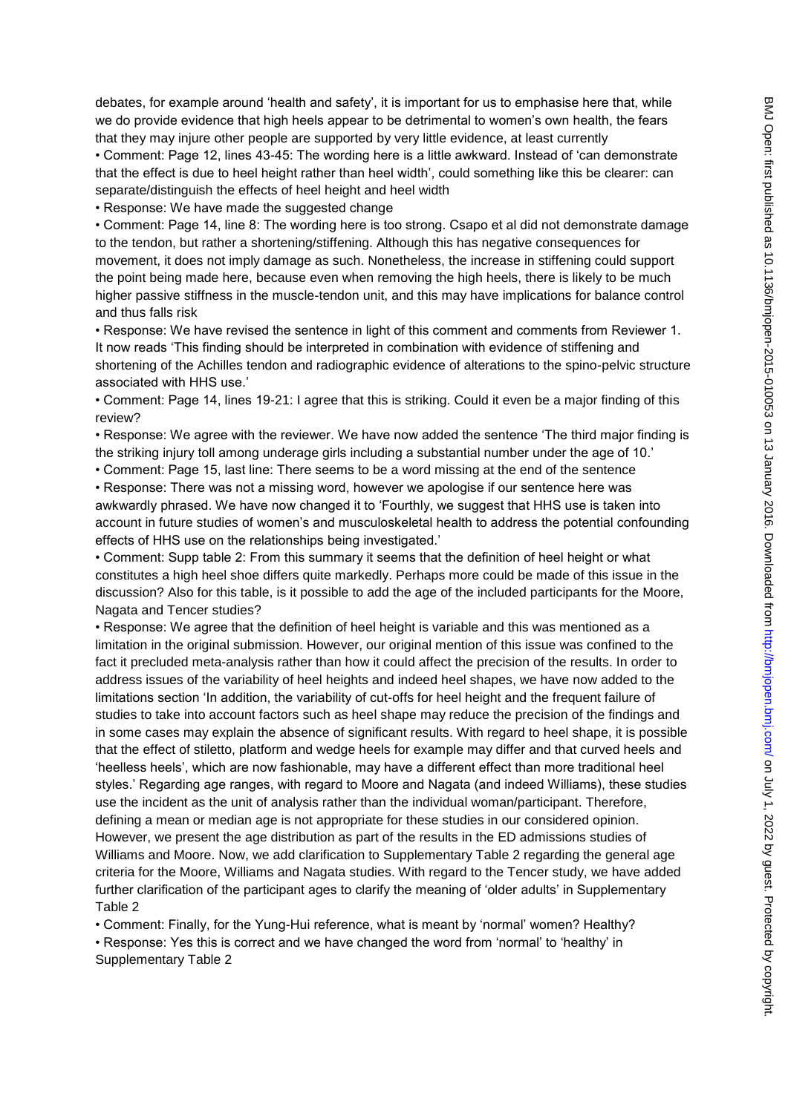debates, for example around 'health and safety', it is important for us to emphasise here that, while we do provide evidence that high heels appear to be detrimental to women's own health, the fears that they may injure other people are supported by very little evidence, at least currently

• Comment: Page 12, lines 43-45: The wording here is a little awkward. Instead of 'can demonstrate that the effect is due to heel height rather than heel width', could something like this be clearer: can separate/distinguish the effects of heel height and heel width

• Response: We have made the suggested change

• Comment: Page 14, line 8: The wording here is too strong. Csapo et al did not demonstrate damage to the tendon, but rather a shortening/stiffening. Although this has negative consequences for movement, it does not imply damage as such. Nonetheless, the increase in stiffening could support the point being made here, because even when removing the high heels, there is likely to be much higher passive stiffness in the muscle-tendon unit, and this may have implications for balance control and thus falls risk

• Response: We have revised the sentence in light of this comment and comments from Reviewer 1. It now reads 'This finding should be interpreted in combination with evidence of stiffening and shortening of the Achilles tendon and radiographic evidence of alterations to the spino-pelvic structure associated with HHS use.'

• Comment: Page 14, lines 19-21: I agree that this is striking. Could it even be a major finding of this review?

• Response: We agree with the reviewer. We have now added the sentence 'The third major finding is the striking injury toll among underage girls including a substantial number under the age of 10.'

• Comment: Page 15, last line: There seems to be a word missing at the end of the sentence

• Response: There was not a missing word, however we apologise if our sentence here was awkwardly phrased. We have now changed it to 'Fourthly, we suggest that HHS use is taken into account in future studies of women's and musculoskeletal health to address the potential confounding effects of HHS use on the relationships being investigated.'

• Comment: Supp table 2: From this summary it seems that the definition of heel height or what constitutes a high heel shoe differs quite markedly. Perhaps more could be made of this issue in the discussion? Also for this table, is it possible to add the age of the included participants for the Moore, Nagata and Tencer studies?

• Response: We agree that the definition of heel height is variable and this was mentioned as a limitation in the original submission. However, our original mention of this issue was confined to the fact it precluded meta-analysis rather than how it could affect the precision of the results. In order to address issues of the variability of heel heights and indeed heel shapes, we have now added to the limitations section 'In addition, the variability of cut-offs for heel height and the frequent failure of studies to take into account factors such as heel shape may reduce the precision of the findings and in some cases may explain the absence of significant results. With regard to heel shape, it is possible that the effect of stiletto, platform and wedge heels for example may differ and that curved heels and 'heelless heels', which are now fashionable, may have a different effect than more traditional heel styles.' Regarding age ranges, with regard to Moore and Nagata (and indeed Williams), these studies use the incident as the unit of analysis rather than the individual woman/participant. Therefore, defining a mean or median age is not appropriate for these studies in our considered opinion. However, we present the age distribution as part of the results in the ED admissions studies of Williams and Moore. Now, we add clarification to Supplementary Table 2 regarding the general age criteria for the Moore, Williams and Nagata studies. With regard to the Tencer study, we have added further clarification of the participant ages to clarify the meaning of 'older adults' in Supplementary Table 2

• Comment: Finally, for the Yung-Hui reference, what is meant by 'normal' women? Healthy?

• Response: Yes this is correct and we have changed the word from 'normal' to 'healthy' in Supplementary Table 2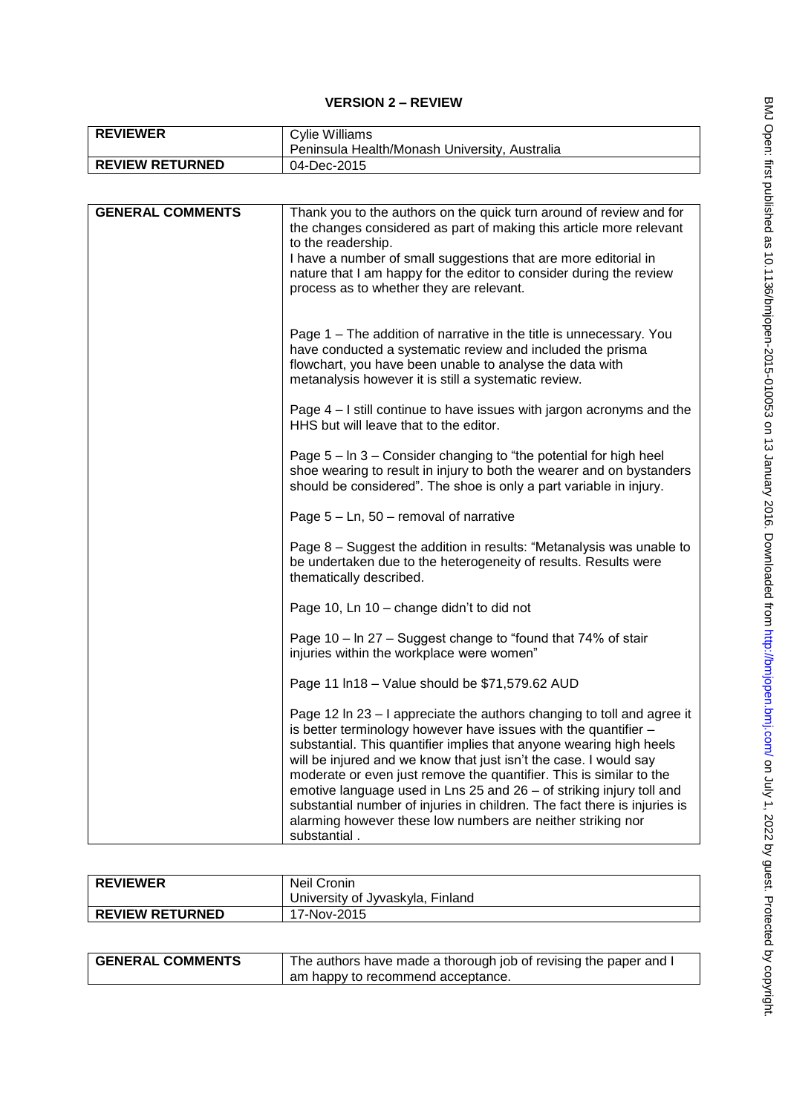# **VERSION 2 – REVIEW**

| <b>REVIEWER</b>        | Cylie Williams<br>Peninsula Health/Monash University, Australia |
|------------------------|-----------------------------------------------------------------|
| <b>REVIEW RETURNED</b> | 04-Dec-2015                                                     |

| <b>GENERAL COMMENTS</b> | Thank you to the authors on the quick turn around of review and for<br>the changes considered as part of making this article more relevant<br>to the readership.<br>I have a number of small suggestions that are more editorial in<br>nature that I am happy for the editor to consider during the review<br>process as to whether they are relevant.                                                                                                                                                                                                                                           |
|-------------------------|--------------------------------------------------------------------------------------------------------------------------------------------------------------------------------------------------------------------------------------------------------------------------------------------------------------------------------------------------------------------------------------------------------------------------------------------------------------------------------------------------------------------------------------------------------------------------------------------------|
|                         | Page 1 – The addition of narrative in the title is unnecessary. You<br>have conducted a systematic review and included the prisma<br>flowchart, you have been unable to analyse the data with<br>metanalysis however it is still a systematic review.                                                                                                                                                                                                                                                                                                                                            |
|                         | Page 4 - I still continue to have issues with jargon acronyms and the<br>HHS but will leave that to the editor.                                                                                                                                                                                                                                                                                                                                                                                                                                                                                  |
|                         | Page 5 – In 3 – Consider changing to "the potential for high heel<br>shoe wearing to result in injury to both the wearer and on bystanders<br>should be considered". The shoe is only a part variable in injury.                                                                                                                                                                                                                                                                                                                                                                                 |
|                         | Page $5 - Ln$ , $50 - removal$ of narrative                                                                                                                                                                                                                                                                                                                                                                                                                                                                                                                                                      |
|                         | Page 8 – Suggest the addition in results: "Metanalysis was unable to<br>be undertaken due to the heterogeneity of results. Results were<br>thematically described.                                                                                                                                                                                                                                                                                                                                                                                                                               |
|                         | Page 10, Ln 10 - change didn't to did not                                                                                                                                                                                                                                                                                                                                                                                                                                                                                                                                                        |
|                         | Page 10 - In 27 - Suggest change to "found that 74% of stair<br>injuries within the workplace were women"                                                                                                                                                                                                                                                                                                                                                                                                                                                                                        |
|                         | Page 11 In 18 - Value should be \$71,579.62 AUD                                                                                                                                                                                                                                                                                                                                                                                                                                                                                                                                                  |
|                         | Page 12 In 23 - I appreciate the authors changing to toll and agree it<br>is better terminology however have issues with the quantifier -<br>substantial. This quantifier implies that anyone wearing high heels<br>will be injured and we know that just isn't the case. I would say<br>moderate or even just remove the quantifier. This is similar to the<br>emotive language used in Lns 25 and 26 - of striking injury toll and<br>substantial number of injuries in children. The fact there is injuries is<br>alarming however these low numbers are neither striking nor<br>substantial. |

| <b>REVIEWER</b>        | Neil Cronin                      |
|------------------------|----------------------------------|
|                        | University of Jyvaskyla, Finland |
| <b>REVIEW RETURNED</b> | 17-Nov-2015                      |

| <b>GENERAL COMMENTS</b> | The authors have made a thorough job of revising the paper and I |
|-------------------------|------------------------------------------------------------------|
|                         | am happy to recommend acceptance.                                |

 $\overline{\phantom{a}}$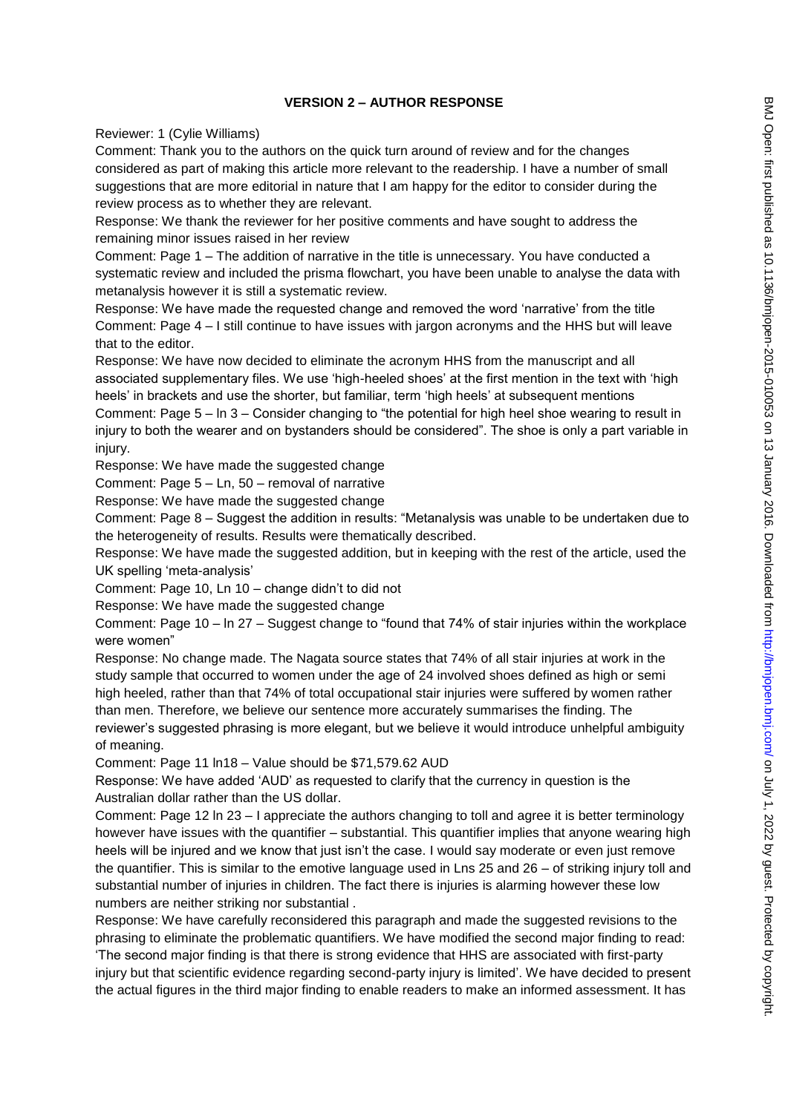#### **VERSION 2 – AUTHOR RESPONSE**

Reviewer: 1 (Cylie Williams)

Comment: Thank you to the authors on the quick turn around of review and for the changes considered as part of making this article more relevant to the readership. I have a number of small suggestions that are more editorial in nature that I am happy for the editor to consider during the review process as to whether they are relevant.

Response: We thank the reviewer for her positive comments and have sought to address the remaining minor issues raised in her review

Comment: Page 1 – The addition of narrative in the title is unnecessary. You have conducted a systematic review and included the prisma flowchart, you have been unable to analyse the data with metanalysis however it is still a systematic review.

Response: We have made the requested change and removed the word 'narrative' from the title Comment: Page 4 – I still continue to have issues with jargon acronyms and the HHS but will leave that to the editor.

Response: We have now decided to eliminate the acronym HHS from the manuscript and all associated supplementary files. We use 'high-heeled shoes' at the first mention in the text with 'high heels' in brackets and use the shorter, but familiar, term 'high heels' at subsequent mentions

Comment: Page 5 – ln 3 – Consider changing to "the potential for high heel shoe wearing to result in injury to both the wearer and on bystanders should be considered". The shoe is only a part variable in injury.

Response: We have made the suggested change

Comment: Page 5 – Ln, 50 – removal of narrative

Response: We have made the suggested change

Comment: Page 8 – Suggest the addition in results: "Metanalysis was unable to be undertaken due to the heterogeneity of results. Results were thematically described.

Response: We have made the suggested addition, but in keeping with the rest of the article, used the UK spelling 'meta-analysis'

Comment: Page 10, Ln 10 – change didn't to did not

Response: We have made the suggested change

Comment: Page 10 – ln 27 – Suggest change to "found that 74% of stair injuries within the workplace were women"

Response: No change made. The Nagata source states that 74% of all stair injuries at work in the study sample that occurred to women under the age of 24 involved shoes defined as high or semi high heeled, rather than that 74% of total occupational stair injuries were suffered by women rather than men. Therefore, we believe our sentence more accurately summarises the finding. The

reviewer's suggested phrasing is more elegant, but we believe it would introduce unhelpful ambiguity of meaning.

Comment: Page 11 ln18 – Value should be \$71,579.62 AUD

Response: We have added 'AUD' as requested to clarify that the currency in question is the Australian dollar rather than the US dollar.

Comment: Page 12 ln 23 – I appreciate the authors changing to toll and agree it is better terminology however have issues with the quantifier – substantial. This quantifier implies that anyone wearing high heels will be injured and we know that just isn't the case. I would say moderate or even just remove the quantifier. This is similar to the emotive language used in Lns 25 and 26 – of striking injury toll and substantial number of injuries in children. The fact there is injuries is alarming however these low numbers are neither striking nor substantial .

Response: We have carefully reconsidered this paragraph and made the suggested revisions to the phrasing to eliminate the problematic quantifiers. We have modified the second major finding to read: 'The second major finding is that there is strong evidence that HHS are associated with first-party injury but that scientific evidence regarding second-party injury is limited'. We have decided to present the actual figures in the third major finding to enable readers to make an informed assessment. It has